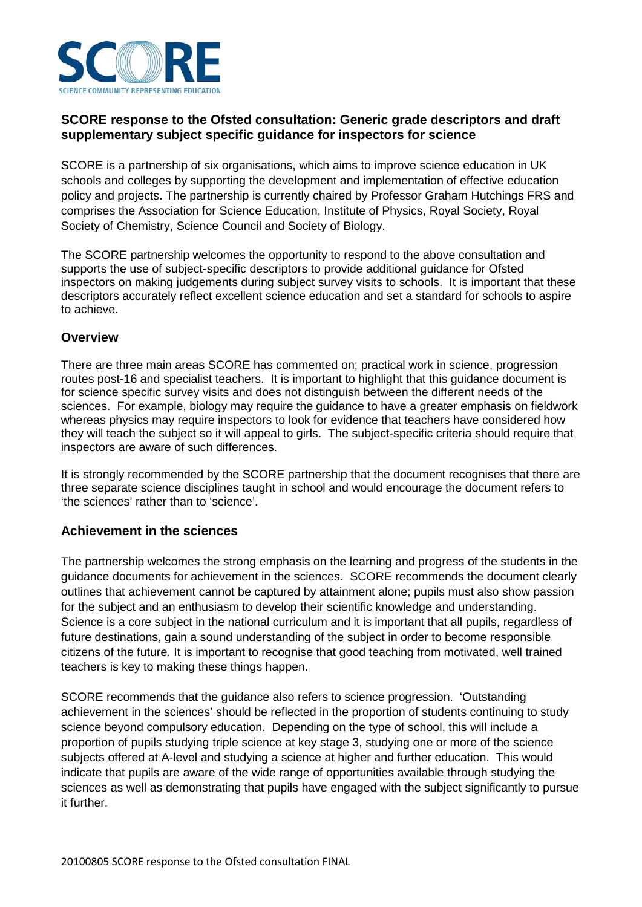

## **SCORE response to the Ofsted consultation: Generic grade descriptors and draft supplementary subject specific guidance for inspectors for science**

SCORE is a partnership of six organisations, which aims to improve science education in UK schools and colleges by supporting the development and implementation of effective education policy and projects. The partnership is currently chaired by Professor Graham Hutchings FRS and comprises the Association for Science Education, Institute of Physics, Royal Society, Royal Society of Chemistry, Science Council and Society of Biology.

The SCORE partnership welcomes the opportunity to respond to the above consultation and supports the use of subject-specific descriptors to provide additional guidance for Ofsted inspectors on making judgements during subject survey visits to schools. It is important that these descriptors accurately reflect excellent science education and set a standard for schools to aspire to achieve.

#### **Overview**

There are three main areas SCORE has commented on; practical work in science, progression routes post-16 and specialist teachers. It is important to highlight that this guidance document is for science specific survey visits and does not distinguish between the different needs of the sciences. For example, biology may require the guidance to have a greater emphasis on fieldwork whereas physics may require inspectors to look for evidence that teachers have considered how they will teach the subject so it will appeal to girls. The subject-specific criteria should require that inspectors are aware of such differences.

It is strongly recommended by the SCORE partnership that the document recognises that there are three separate science disciplines taught in school and would encourage the document refers to 'the sciences' rather than to 'science'.

### **Achievement in the sciences**

The partnership welcomes the strong emphasis on the learning and progress of the students in the guidance documents for achievement in the sciences. SCORE recommends the document clearly outlines that achievement cannot be captured by attainment alone; pupils must also show passion for the subject and an enthusiasm to develop their scientific knowledge and understanding. Science is a core subject in the national curriculum and it is important that all pupils, regardless of future destinations, gain a sound understanding of the subject in order to become responsible citizens of the future. It is important to recognise that good teaching from motivated, well trained teachers is key to making these things happen.

SCORE recommends that the guidance also refers to science progression. 'Outstanding achievement in the sciences' should be reflected in the proportion of students continuing to study science beyond compulsory education. Depending on the type of school, this will include a proportion of pupils studying triple science at key stage 3, studying one or more of the science subjects offered at A-level and studying a science at higher and further education. This would indicate that pupils are aware of the wide range of opportunities available through studying the sciences as well as demonstrating that pupils have engaged with the subject significantly to pursue it further.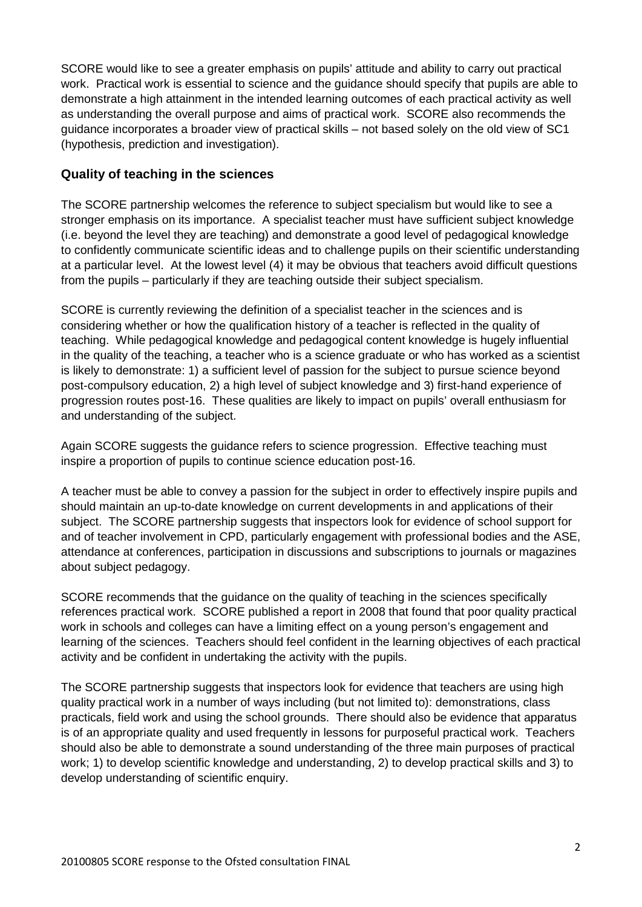SCORE would like to see a greater emphasis on pupils' attitude and ability to carry out practical work. Practical work is essential to science and the guidance should specify that pupils are able to demonstrate a high attainment in the intended learning outcomes of each practical activity as well as understanding the overall purpose and aims of practical work. SCORE also recommends the guidance incorporates a broader view of practical skills – not based solely on the old view of SC1 (hypothesis, prediction and investigation).

## **Quality of teaching in the sciences**

The SCORE partnership welcomes the reference to subject specialism but would like to see a stronger emphasis on its importance. A specialist teacher must have sufficient subject knowledge (i.e. beyond the level they are teaching) and demonstrate a good level of pedagogical knowledge to confidently communicate scientific ideas and to challenge pupils on their scientific understanding at a particular level. At the lowest level (4) it may be obvious that teachers avoid difficult questions from the pupils – particularly if they are teaching outside their subject specialism.

SCORE is currently reviewing the definition of a specialist teacher in the sciences and is considering whether or how the qualification history of a teacher is reflected in the quality of teaching. While pedagogical knowledge and pedagogical content knowledge is hugely influential in the quality of the teaching, a teacher who is a science graduate or who has worked as a scientist is likely to demonstrate: 1) a sufficient level of passion for the subject to pursue science beyond post-compulsory education, 2) a high level of subject knowledge and 3) first-hand experience of progression routes post-16. These qualities are likely to impact on pupils' overall enthusiasm for and understanding of the subject.

Again SCORE suggests the guidance refers to science progression. Effective teaching must inspire a proportion of pupils to continue science education post-16.

A teacher must be able to convey a passion for the subject in order to effectively inspire pupils and should maintain an up-to-date knowledge on current developments in and applications of their subject. The SCORE partnership suggests that inspectors look for evidence of school support for and of teacher involvement in CPD, particularly engagement with professional bodies and the ASE, attendance at conferences, participation in discussions and subscriptions to journals or magazines about subject pedagogy.

SCORE recommends that the guidance on the quality of teaching in the sciences specifically references practical work. SCORE published a report in 2008 that found that poor quality practical work in schools and colleges can have a limiting effect on a young person's engagement and learning of the sciences. Teachers should feel confident in the learning objectives of each practical activity and be confident in undertaking the activity with the pupils.

The SCORE partnership suggests that inspectors look for evidence that teachers are using high quality practical work in a number of ways including (but not limited to): demonstrations, class practicals, field work and using the school grounds. There should also be evidence that apparatus is of an appropriate quality and used frequently in lessons for purposeful practical work. Teachers should also be able to demonstrate a sound understanding of the three main purposes of practical work; 1) to develop scientific knowledge and understanding, 2) to develop practical skills and 3) to develop understanding of scientific enquiry.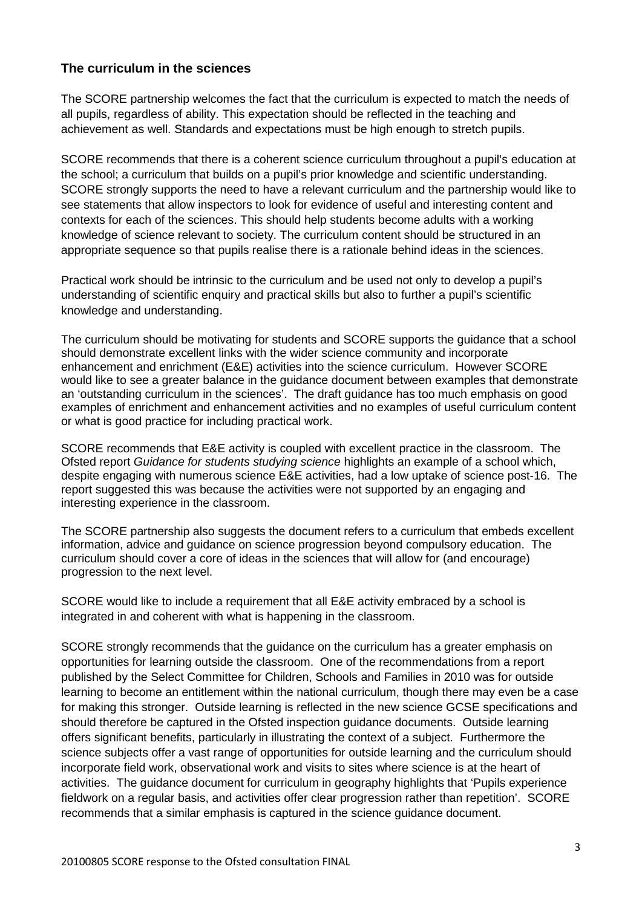### **The curriculum in the sciences**

The SCORE partnership welcomes the fact that the curriculum is expected to match the needs of all pupils, regardless of ability. This expectation should be reflected in the teaching and achievement as well. Standards and expectations must be high enough to stretch pupils.

SCORE recommends that there is a coherent science curriculum throughout a pupil's education at the school; a curriculum that builds on a pupil's prior knowledge and scientific understanding. SCORE strongly supports the need to have a relevant curriculum and the partnership would like to see statements that allow inspectors to look for evidence of useful and interesting content and contexts for each of the sciences. This should help students become adults with a working knowledge of science relevant to society. The curriculum content should be structured in an appropriate sequence so that pupils realise there is a rationale behind ideas in the sciences.

Practical work should be intrinsic to the curriculum and be used not only to develop a pupil's understanding of scientific enquiry and practical skills but also to further a pupil's scientific knowledge and understanding.

The curriculum should be motivating for students and SCORE supports the guidance that a school should demonstrate excellent links with the wider science community and incorporate enhancement and enrichment (E&E) activities into the science curriculum. However SCORE would like to see a greater balance in the guidance document between examples that demonstrate an 'outstanding curriculum in the sciences'. The draft guidance has too much emphasis on good examples of enrichment and enhancement activities and no examples of useful curriculum content or what is good practice for including practical work.

SCORE recommends that E&E activity is coupled with excellent practice in the classroom. The Ofsted report *Guidance for students studying science* highlights an example of a school which, despite engaging with numerous science E&E activities, had a low uptake of science post-16. The report suggested this was because the activities were not supported by an engaging and interesting experience in the classroom.

The SCORE partnership also suggests the document refers to a curriculum that embeds excellent information, advice and guidance on science progression beyond compulsory education. The curriculum should cover a core of ideas in the sciences that will allow for (and encourage) progression to the next level.

SCORE would like to include a requirement that all E&E activity embraced by a school is integrated in and coherent with what is happening in the classroom.

SCORE strongly recommends that the guidance on the curriculum has a greater emphasis on opportunities for learning outside the classroom. One of the recommendations from a report published by the Select Committee for Children, Schools and Families in 2010 was for outside learning to become an entitlement within the national curriculum, though there may even be a case for making this stronger. Outside learning is reflected in the new science GCSE specifications and should therefore be captured in the Ofsted inspection guidance documents. Outside learning offers significant benefits, particularly in illustrating the context of a subject. Furthermore the science subjects offer a vast range of opportunities for outside learning and the curriculum should incorporate field work, observational work and visits to sites where science is at the heart of activities. The guidance document for curriculum in geography highlights that 'Pupils experience fieldwork on a regular basis, and activities offer clear progression rather than repetition'. SCORE recommends that a similar emphasis is captured in the science guidance document.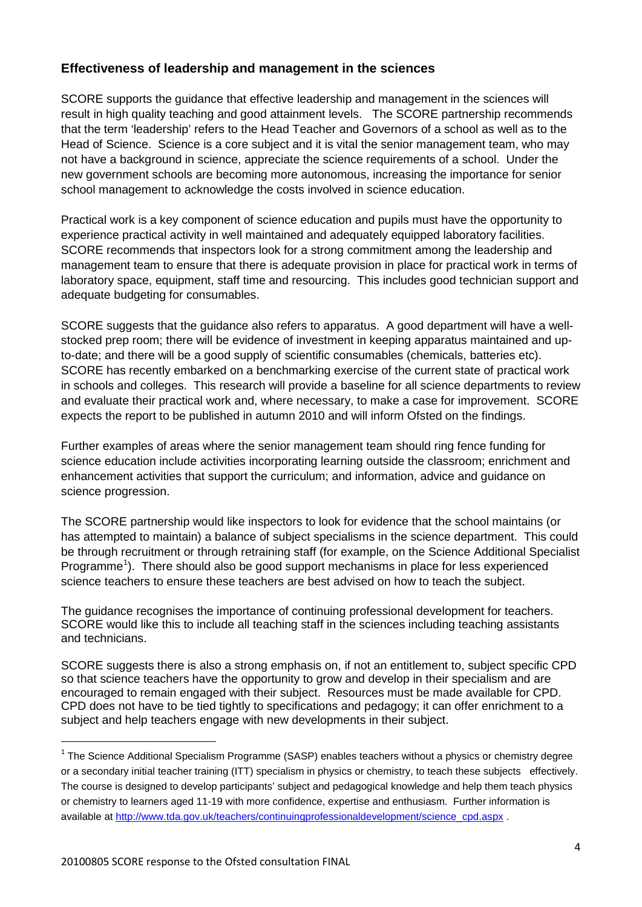# **Effectiveness of leadership and management in the sciences**

SCORE supports the guidance that effective leadership and management in the sciences will result in high quality teaching and good attainment levels. The SCORE partnership recommends that the term 'leadership' refers to the Head Teacher and Governors of a school as well as to the Head of Science. Science is a core subject and it is vital the senior management team, who may not have a background in science, appreciate the science requirements of a school. Under the new government schools are becoming more autonomous, increasing the importance for senior school management to acknowledge the costs involved in science education.

Practical work is a key component of science education and pupils must have the opportunity to experience practical activity in well maintained and adequately equipped laboratory facilities. SCORE recommends that inspectors look for a strong commitment among the leadership and management team to ensure that there is adequate provision in place for practical work in terms of laboratory space, equipment, staff time and resourcing. This includes good technician support and adequate budgeting for consumables.

SCORE suggests that the guidance also refers to apparatus. A good department will have a wellstocked prep room; there will be evidence of investment in keeping apparatus maintained and upto-date; and there will be a good supply of scientific consumables (chemicals, batteries etc). SCORE has recently embarked on a benchmarking exercise of the current state of practical work in schools and colleges. This research will provide a baseline for all science departments to review and evaluate their practical work and, where necessary, to make a case for improvement. SCORE expects the report to be published in autumn 2010 and will inform Ofsted on the findings.

Further examples of areas where the senior management team should ring fence funding for science education include activities incorporating learning outside the classroom; enrichment and enhancement activities that support the curriculum; and information, advice and guidance on science progression.

The SCORE partnership would like inspectors to look for evidence that the school maintains (or has attempted to maintain) a balance of subject specialisms in the science department. This could be through recruitment or through retraining staff (for example, on the Science Additional Specialist Programme<sup>[1](#page-3-0)</sup>). There should also be good support mechanisms in place for less experienced science teachers to ensure these teachers are best advised on how to teach the subject.

The guidance recognises the importance of continuing professional development for teachers. SCORE would like this to include all teaching staff in the sciences including teaching assistants and technicians.

SCORE suggests there is also a strong emphasis on, if not an entitlement to, subject specific CPD so that science teachers have the opportunity to grow and develop in their specialism and are encouraged to remain engaged with their subject. Resources must be made available for CPD. CPD does not have to be tied tightly to specifications and pedagogy; it can offer enrichment to a subject and help teachers engage with new developments in their subject.

<span id="page-3-0"></span> $1$  The Science Additional Specialism Programme (SASP) enables teachers without a physics or chemistry degree or a secondary initial teacher training (ITT) specialism in physics or chemistry, to teach these subjects effectively. The course is designed to develop participants' subject and pedagogical knowledge and help them teach physics or chemistry to learners aged 11-19 with more confidence, expertise and enthusiasm. Further information is available at [http://www.tda.gov.uk/teachers/continuingprofessionaldevelopment/science\\_cpd.aspx](http://www.tda.gov.uk/teachers/continuingprofessionaldevelopment/science_cpd.aspx) .